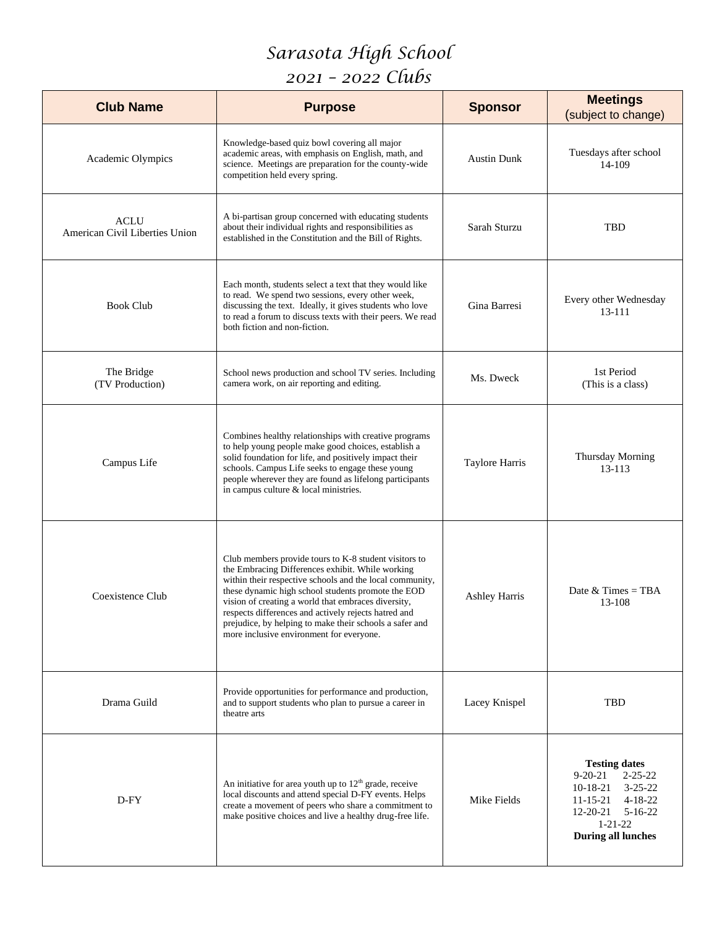## *Sarasota High School*

## *2021 – 2022 Clubs*

| <b>Club Name</b>                              | <b>Purpose</b>                                                                                                                                                                                                                                                                                                                                                                                                                                    | <b>Sponsor</b>       | <b>Meetings</b><br>(subject to change)                                                                                                                                                      |
|-----------------------------------------------|---------------------------------------------------------------------------------------------------------------------------------------------------------------------------------------------------------------------------------------------------------------------------------------------------------------------------------------------------------------------------------------------------------------------------------------------------|----------------------|---------------------------------------------------------------------------------------------------------------------------------------------------------------------------------------------|
| Academic Olympics                             | Knowledge-based quiz bowl covering all major<br>academic areas, with emphasis on English, math, and<br>science. Meetings are preparation for the county-wide<br>competition held every spring.                                                                                                                                                                                                                                                    | <b>Austin Dunk</b>   | Tuesdays after school<br>14-109                                                                                                                                                             |
| <b>ACLU</b><br>American Civil Liberties Union | A bi-partisan group concerned with educating students<br>about their individual rights and responsibilities as<br>established in the Constitution and the Bill of Rights.                                                                                                                                                                                                                                                                         | Sarah Sturzu         | TBD                                                                                                                                                                                         |
| <b>Book Club</b>                              | Each month, students select a text that they would like<br>to read. We spend two sessions, every other week,<br>discussing the text. Ideally, it gives students who love<br>to read a forum to discuss texts with their peers. We read<br>both fiction and non-fiction.                                                                                                                                                                           | Gina Barresi         | Every other Wednesday<br>13-111                                                                                                                                                             |
| The Bridge<br>(TV Production)                 | School news production and school TV series. Including<br>camera work, on air reporting and editing.                                                                                                                                                                                                                                                                                                                                              | Ms. Dweck            | 1st Period<br>(This is a class)                                                                                                                                                             |
| Campus Life                                   | Combines healthy relationships with creative programs<br>to help young people make good choices, establish a<br>solid foundation for life, and positively impact their<br>schools. Campus Life seeks to engage these young<br>people wherever they are found as lifelong participants<br>in campus culture & local ministries.                                                                                                                    | Taylore Harris       | Thursday Morning<br>13-113                                                                                                                                                                  |
| Coexistence Club                              | Club members provide tours to K-8 student visitors to<br>the Embracing Differences exhibit. While working<br>within their respective schools and the local community,<br>these dynamic high school students promote the EOD<br>vision of creating a world that embraces diversity,<br>respects differences and actively rejects hatred and<br>prejudice, by helping to make their schools a safer and<br>more inclusive environment for everyone. | <b>Ashley Harris</b> | Date $& Times = TBA$<br>13-108                                                                                                                                                              |
| Drama Guild                                   | Provide opportunities for performance and production,<br>and to support students who plan to pursue a career in<br>theatre arts                                                                                                                                                                                                                                                                                                                   | Lacey Knispel        | TBD                                                                                                                                                                                         |
| D-FY                                          | An initiative for area youth up to $12th$ grade, receive<br>local discounts and attend special D-FY events. Helps<br>create a movement of peers who share a commitment to<br>make positive choices and live a healthy drug-free life.                                                                                                                                                                                                             | Mike Fields          | <b>Testing dates</b><br>$2 - 25 - 22$<br>9-20-21<br>$3 - 25 - 22$<br>10-18-21<br>$4 - 18 - 22$<br>$11 - 15 - 21$<br>12-20-21<br>$5 - 16 - 22$<br>$1 - 21 - 22$<br><b>During all lunches</b> |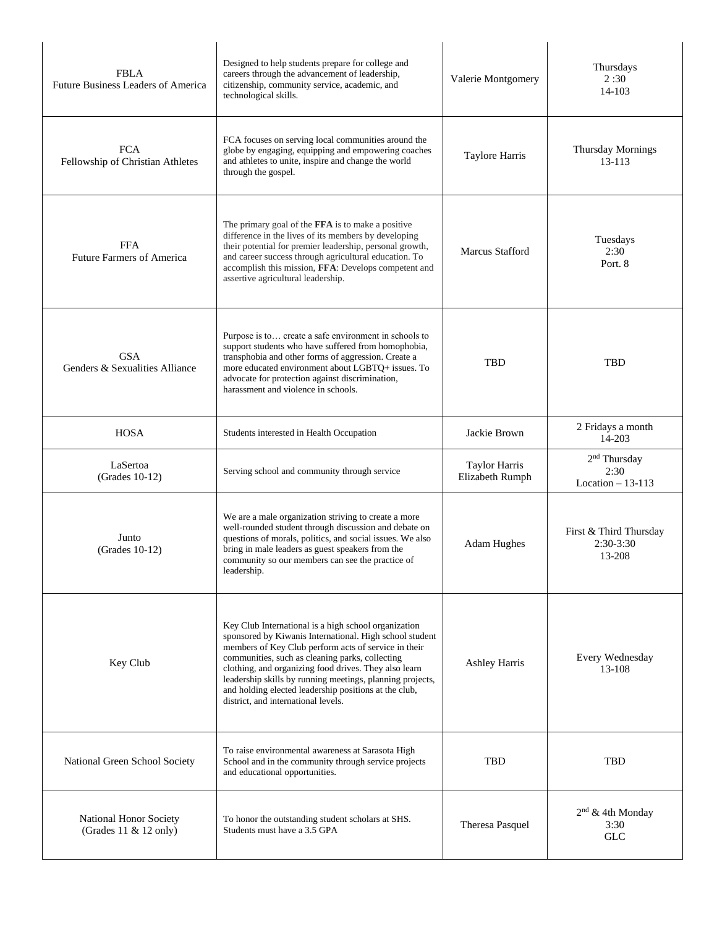| <b>FBLA</b><br>Future Business Leaders of America | Designed to help students prepare for college and<br>careers through the advancement of leadership,<br>citizenship, community service, academic, and<br>technological skills.                                                                                                                                                                                                                                                                    | Valerie Montgomery               | Thursdays<br>2:30<br>14-103                            |
|---------------------------------------------------|--------------------------------------------------------------------------------------------------------------------------------------------------------------------------------------------------------------------------------------------------------------------------------------------------------------------------------------------------------------------------------------------------------------------------------------------------|----------------------------------|--------------------------------------------------------|
| <b>FCA</b><br>Fellowship of Christian Athletes    | FCA focuses on serving local communities around the<br>globe by engaging, equipping and empowering coaches<br>and athletes to unite, inspire and change the world<br>through the gospel.                                                                                                                                                                                                                                                         | Taylore Harris                   | Thursday Mornings<br>13-113                            |
| <b>FFA</b><br><b>Future Farmers of America</b>    | The primary goal of the FFA is to make a positive<br>difference in the lives of its members by developing<br>their potential for premier leadership, personal growth,<br>and career success through agricultural education. To<br>accomplish this mission, FFA: Develops competent and<br>assertive agricultural leadership.                                                                                                                     | <b>Marcus Stafford</b>           | Tuesdays<br>2:30<br>Port. 8                            |
| <b>GSA</b><br>Genders & Sexualities Alliance      | Purpose is to create a safe environment in schools to<br>support students who have suffered from homophobia,<br>transphobia and other forms of aggression. Create a<br>more educated environment about LGBTQ+ issues. To<br>advocate for protection against discrimination,<br>harassment and violence in schools.                                                                                                                               | <b>TBD</b>                       | <b>TBD</b>                                             |
| <b>HOSA</b>                                       | Students interested in Health Occupation                                                                                                                                                                                                                                                                                                                                                                                                         | Jackie Brown                     | 2 Fridays a month<br>14-203                            |
| LaSertoa<br>(Grades 10-12)                        | Serving school and community through service                                                                                                                                                                                                                                                                                                                                                                                                     | Taylor Harris<br>Elizabeth Rumph | 2 <sup>nd</sup> Thursday<br>2:30<br>Location $-13-113$ |
| Junto<br>(Grades 10-12)                           | We are a male organization striving to create a more<br>well-rounded student through discussion and debate on<br>questions of morals, politics, and social issues. We also<br>bring in male leaders as guest speakers from the<br>community so our members can see the practice of<br>leadership.                                                                                                                                                | Adam Hughes                      | First & Third Thursday<br>$2:30-3:30$<br>13-208        |
| Key Club                                          | Key Club International is a high school organization<br>sponsored by Kiwanis International. High school student<br>members of Key Club perform acts of service in their<br>communities, such as cleaning parks, collecting<br>clothing, and organizing food drives. They also learn<br>leadership skills by running meetings, planning projects,<br>and holding elected leadership positions at the club,<br>district, and international levels. | <b>Ashley Harris</b>             | Every Wednesday<br>13-108                              |
| National Green School Society                     | To raise environmental awareness at Sarasota High<br>School and in the community through service projects<br>and educational opportunities.                                                                                                                                                                                                                                                                                                      | TBD                              | <b>TBD</b>                                             |
| National Honor Society<br>(Grades 11 & 12 only)   | To honor the outstanding student scholars at SHS.<br>Students must have a 3.5 GPA                                                                                                                                                                                                                                                                                                                                                                | Theresa Pasquel                  | $2nd$ & 4th Monday<br>3:30<br><b>GLC</b>               |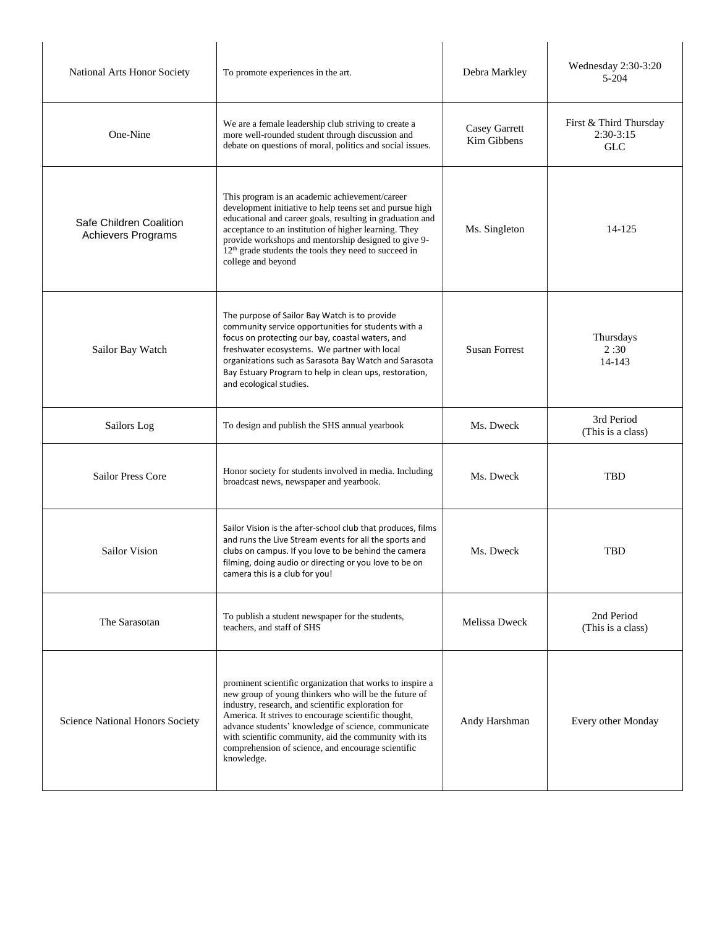| National Arts Honor Society                   | To promote experiences in the art.                                                                                                                                                                                                                                                                                                                                                                                   | Debra Markley                | Wednesday 2:30-3:20<br>5-204                        |
|-----------------------------------------------|----------------------------------------------------------------------------------------------------------------------------------------------------------------------------------------------------------------------------------------------------------------------------------------------------------------------------------------------------------------------------------------------------------------------|------------------------------|-----------------------------------------------------|
| One-Nine                                      | We are a female leadership club striving to create a<br>more well-rounded student through discussion and<br>debate on questions of moral, politics and social issues.                                                                                                                                                                                                                                                | Casey Garrett<br>Kim Gibbens | First & Third Thursday<br>$2:30-3:15$<br><b>GLC</b> |
| Safe Children Coalition<br>Achievers Programs | This program is an academic achievement/career<br>development initiative to help teens set and pursue high<br>educational and career goals, resulting in graduation and<br>acceptance to an institution of higher learning. They<br>provide workshops and mentorship designed to give 9-<br>12 <sup>th</sup> grade students the tools they need to succeed in<br>college and beyond                                  | Ms. Singleton                | 14-125                                              |
| Sailor Bay Watch                              | The purpose of Sailor Bay Watch is to provide<br>community service opportunities for students with a<br>focus on protecting our bay, coastal waters, and<br>freshwater ecosystems. We partner with local<br>organizations such as Sarasota Bay Watch and Sarasota<br>Bay Estuary Program to help in clean ups, restoration,<br>and ecological studies.                                                               | <b>Susan Forrest</b>         | Thursdays<br>2:30<br>14-143                         |
| Sailors Log                                   | To design and publish the SHS annual yearbook                                                                                                                                                                                                                                                                                                                                                                        | Ms. Dweck                    | 3rd Period<br>(This is a class)                     |
| <b>Sailor Press Core</b>                      | Honor society for students involved in media. Including<br>broadcast news, newspaper and yearbook.                                                                                                                                                                                                                                                                                                                   | Ms. Dweck                    | TBD                                                 |
| Sailor Vision                                 | Sailor Vision is the after-school club that produces, films<br>and runs the Live Stream events for all the sports and<br>clubs on campus. If you love to be behind the camera<br>filming, doing audio or directing or you love to be on<br>camera this is a club for you!                                                                                                                                            | Ms. Dweck                    | TBD                                                 |
| The Sarasotan                                 | To publish a student newspaper for the students,<br>teachers, and staff of SHS                                                                                                                                                                                                                                                                                                                                       | Melissa Dweck                | 2nd Period<br>(This is a class)                     |
| Science National Honors Society               | prominent scientific organization that works to inspire a<br>new group of young thinkers who will be the future of<br>industry, research, and scientific exploration for<br>America. It strives to encourage scientific thought,<br>advance students' knowledge of science, communicate<br>with scientific community, aid the community with its<br>comprehension of science, and encourage scientific<br>knowledge. | Andy Harshman                | Every other Monday                                  |